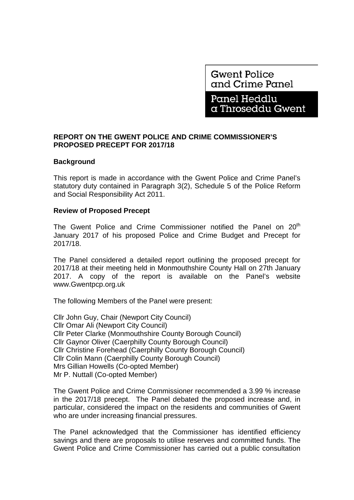**Gwent Police** and Crime Panel

Panel Heddlu a Throseddu Gwent

# **REPORT ON THE GWENT POLICE AND CRIME COMMISSIONER'S PROPOSED PRECEPT FOR 2017/18**

## **Background**

This report is made in accordance with the Gwent Police and Crime Panel's statutory duty contained in Paragraph 3(2), Schedule 5 of the Police Reform and Social Responsibility Act 2011.

### **Review of Proposed Precept**

The Gwent Police and Crime Commissioner notified the Panel on 20<sup>th</sup> January 2017 of his proposed Police and Crime Budget and Precept for 2017/18.

The Panel considered a detailed report outlining the proposed precept for 2017/18 at their meeting held in Monmouthshire County Hall on 27th January 2017. A copy of the report is available on the Panel's website www.Gwentpcp.org.uk

The following Members of the Panel were present:

Cllr John Guy, Chair (Newport City Council) Cllr Omar Ali (Newport City Council) Cllr Peter Clarke (Monmouthshire County Borough Council) Cllr Gaynor Oliver (Caerphilly County Borough Council) Cllr Christine Forehead (Caerphilly County Borough Council) Cllr Colin Mann (Caerphilly County Borough Council) Mrs Gillian Howells (Co-opted Member) Mr P. Nuttall (Co-opted Member)

The Gwent Police and Crime Commissioner recommended a 3.99 % increase in the 2017/18 precept. The Panel debated the proposed increase and, in particular, considered the impact on the residents and communities of Gwent who are under increasing financial pressures.

The Panel acknowledged that the Commissioner has identified efficiency savings and there are proposals to utilise reserves and committed funds. The Gwent Police and Crime Commissioner has carried out a public consultation